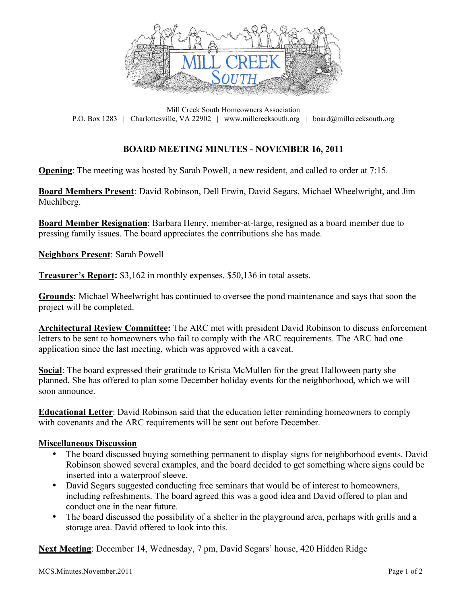

Mill Creek South Homeowners Association P.O. Box 1283 | Charlottesville, VA 22902 | www.millcreeksouth.org | board@millcreeksouth.org

## **BOARD MEETING MINUTES - NOVEMBER 16, 2011**

**Opening**: The meeting was hosted by Sarah Powell, a new resident, and called to order at 7:15.

**Board Members Present**: David Robinson, Dell Erwin, David Segars, Michael Wheelwright, and Jim Muehlberg.

**Board Member Resignation**: Barbara Henry, member-at-large, resigned as a board member due to pressing family issues. The board appreciates the contributions she has made.

**Neighbors Present**: Sarah Powell

**Treasurer's Report:** \$3,162 in monthly expenses. \$50,136 in total assets.

**Grounds:** Michael Wheelwright has continued to oversee the pond maintenance and says that soon the project will be completed.

**Architectural Review Committee:** The ARC met with president David Robinson to discuss enforcement letters to be sent to homeowners who fail to comply with the ARC requirements. The ARC had one application since the last meeting, which was approved with a caveat.

**Social**: The board expressed their gratitude to Krista McMullen for the great Halloween party she planned. She has offered to plan some December holiday events for the neighborhood, which we will soon announce.

**Educational Letter**: David Robinson said that the education letter reminding homeowners to comply with covenants and the ARC requirements will be sent out before December.

## **Miscellaneous Discussion**

- The board discussed buying something permanent to display signs for neighborhood events. David Robinson showed several examples, and the board decided to get something where signs could be inserted into a waterproof sleeve.
- David Segars suggested conducting free seminars that would be of interest to homeowners, including refreshments. The board agreed this was a good idea and David offered to plan and conduct one in the near future.
- The board discussed the possibility of a shelter in the playground area, perhaps with grills and a storage area. David offered to look into this.

**Next Meeting**: December 14, Wednesday, 7 pm, David Segars' house, 420 Hidden Ridge